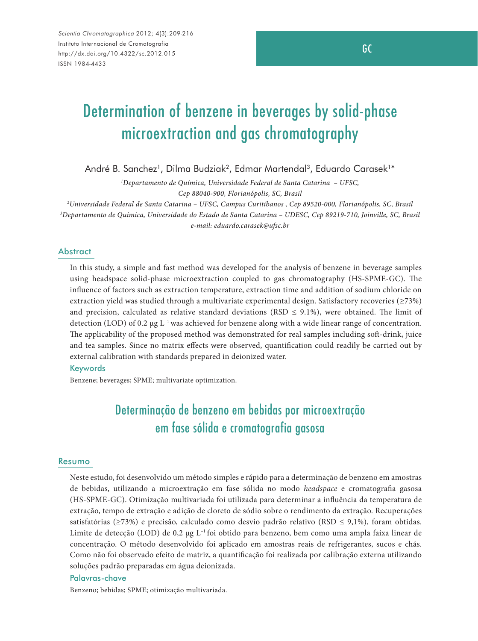# Determination of benzene in beverages by solid-phase microextraction and gas chromatography

André B. Sanchez<sup>1</sup>, Dilma Budziak<sup>2</sup>, Edmar Martendal<sup>3</sup>, Eduardo Carasek<sup>1\*</sup>

*1 Departamento de Química, Universidade Federal de Santa Catarina – UFSC, Cep 88040-900, Florianópolis, SC, Brasil*

*2 Universidade Federal de Santa Catarina – UFSC, Campus Curitibanos , Cep 89520-000, Florianópolis, SC, Brasil 3 Departamento de Química, Universidade do Estado de Santa Catarina – UDESC, Cep 89219-710, Joinville, SC, Brasil e-mail: eduardo.carasek@ufsc.br*

#### **Abstract**

In this study, a simple and fast method was developed for the analysis of benzene in beverage samples using headspace solid-phase microextraction coupled to gas chromatography (HS-SPME-GC). The influence of factors such as extraction temperature, extraction time and addition of sodium chloride on extraction yield was studied through a multivariate experimental design. Satisfactory recoveries (≥73%) and precision, calculated as relative standard deviations (RSD  $\leq$  9.1%), were obtained. The limit of detection (LOD) of 0.2  $\mu$ g L<sup>-1</sup> was achieved for benzene along with a wide linear range of concentration. The applicability of the proposed method was demonstrated for real samples including soft-drink, juice and tea samples. Since no matrix effects were observed, quantification could readily be carried out by external calibration with standards prepared in deionized water.

#### Keywords

Benzene; beverages; SPME; multivariate optimization.

# Determinação de benzeno em bebidas por microextração em fase sólida e cromatografia gasosa

#### Resumo

Neste estudo, foi desenvolvido um método simples e rápido para a determinação de benzeno em amostras de bebidas, utilizando a microextração em fase sólida no modo *headspace* e cromatografia gasosa (HS-SPME-GC). Otimização multivariada foi utilizada para determinar a influência da temperatura de extração, tempo de extração e adição de cloreto de sódio sobre o rendimento da extração. Recuperações satisfatórias (≥73%) e precisão, calculado como desvio padrão relativo (RSD ≤ 9,1%), foram obtidas. Limite de detecção (LOD) de 0,2 µg L<sup>-1</sup> foi obtido para benzeno, bem como uma ampla faixa linear de concentração. O método desenvolvido foi aplicado em amostras reais de refrigerantes, sucos e chás. Como não foi observado efeito de matriz, a quantificação foi realizada por calibração externa utilizando soluções padrão preparadas em água deionizada.

#### Palavras-chave

Benzeno; bebidas; SPME; otimização multivariada.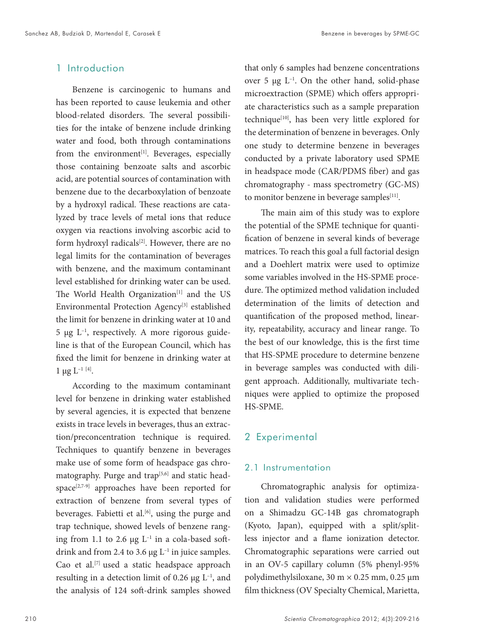### 1 Introduction

Benzene is carcinogenic to humans and has been reported to cause leukemia and other blood-related disorders. The several possibilities for the intake of benzene include drinking water and food, both through contaminations from the environment<sup>[1]</sup>. Beverages, especially those containing benzoate salts and ascorbic acid, are potential sources of contamination with benzene due to the decarboxylation of benzoate by a hydroxyl radical. These reactions are catalyzed by trace levels of metal ions that reduce oxygen via reactions involving ascorbic acid to form hydroxyl radicals<sup>[2]</sup>. However, there are no legal limits for the contamination of beverages with benzene, and the maximum contaminant level established for drinking water can be used. The World Health Organization<sup>[1]</sup> and the US Environmental Protection Agency<sup>[3]</sup> established the limit for benzene in drinking water at 10 and  $5 \mu g L^{-1}$ , respectively. A more rigorous guideline is that of the European Council, which has fixed the limit for benzene in drinking water at  $1 \mu g L^{-1}$  [4].

According to the maximum contaminant level for benzene in drinking water established by several agencies, it is expected that benzene exists in trace levels in beverages, thus an extraction/preconcentration technique is required. Techniques to quantify benzene in beverages make use of some form of headspace gas chromatography. Purge and trap<sup>[5,6]</sup> and static headspace[2,7-9] approaches have been reported for extraction of benzene from several types of beverages. Fabietti et al.<sup>[6]</sup>, using the purge and trap technique, showed levels of benzene ranging from 1.1 to 2.6  $\mu$ g L<sup>-1</sup> in a cola-based softdrink and from 2.4 to 3.6  $\mu$ g L<sup>-1</sup> in juice samples. Cao et al.<sup>[7]</sup> used a static headspace approach resulting in a detection limit of 0.26  $\mu$ g L<sup>-1</sup>, and the analysis of 124 soft-drink samples showed

that only 6 samples had benzene concentrations over 5  $\mu$ g L<sup>-1</sup>. On the other hand, solid-phase microextraction (SPME) which offers appropriate characteristics such as a sample preparation technique<sup>[10]</sup>, has been very little explored for the determination of benzene in beverages. Only one study to determine benzene in beverages conducted by a private laboratory used SPME in headspace mode (CAR/PDMS fiber) and gas chromatography - mass spectrometry (GC-MS) to monitor benzene in beverage samples<sup>[11]</sup>.

The main aim of this study was to explore the potential of the SPME technique for quantification of benzene in several kinds of beverage matrices. To reach this goal a full factorial design and a Doehlert matrix were used to optimize some variables involved in the HS-SPME procedure. The optimized method validation included determination of the limits of detection and quantification of the proposed method, linearity, repeatability, accuracy and linear range. To the best of our knowledge, this is the first time that HS-SPME procedure to determine benzene in beverage samples was conducted with diligent approach. Additionally, multivariate techniques were applied to optimize the proposed HS-SPME.

#### 2 Experimental

#### 2.1 Instrumentation

Chromatographic analysis for optimization and validation studies were performed on a Shimadzu GC-14B gas chromatograph (Kyoto, Japan), equipped with a split/splitless injector and a flame ionization detector. Chromatographic separations were carried out in an OV-5 capillary column (5% phenyl-95% polydimethylsiloxane, 30 m × 0.25 mm, 0.25 µm film thickness (OV Specialty Chemical, Marietta,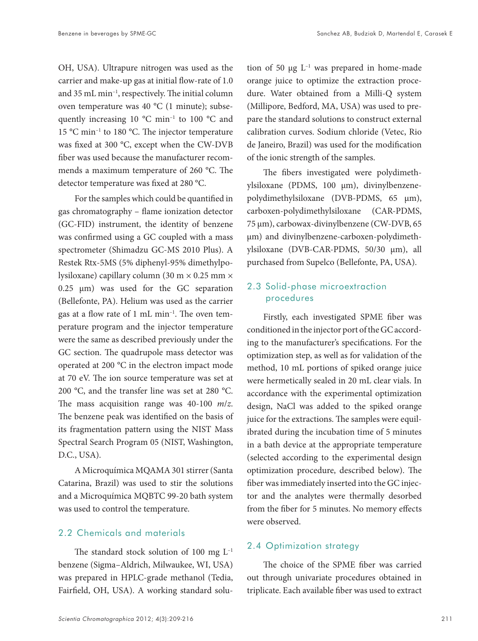OH, USA). Ultrapure nitrogen was used as the carrier and make-up gas at initial flow-rate of 1.0 and 35 mL min–1, respectively. The initial column oven temperature was 40 °C (1 minute); subsequently increasing 10 °C min–1 to 100 °C and 15 °C min–1 to 180 °C. The injector temperature was fixed at 300 °C, except when the CW-DVB fiber was used because the manufacturer recommends a maximum temperature of 260 °C. The detector temperature was fixed at 280 °C.

For the samples which could be quantified in gas chromatography – flame ionization detector (GC-FID) instrument, the identity of benzene was confirmed using a GC coupled with a mass spectrometer (Shimadzu GC-MS 2010 Plus). A Restek Rtx-5MS (5% diphenyl-95% dimethylpolysiloxane) capillary column (30 m × 0.25 mm ×  $0.25$   $\mu$ m) was used for the GC separation (Bellefonte, PA). Helium was used as the carrier gas at a flow rate of 1 mL min–1. The oven temperature program and the injector temperature were the same as described previously under the GC section. The quadrupole mass detector was operated at 200 °C in the electron impact mode at 70 eV. The ion source temperature was set at 200 °C, and the transfer line was set at 280 °C. The mass acquisition range was 40-100 *m*/*z*. The benzene peak was identified on the basis of its fragmentation pattern using the NIST Mass Spectral Search Program 05 (NIST, Washington, D.C., USA).

A Microquímica MQAMA 301 stirrer (Santa Catarina, Brazil) was used to stir the solutions and a Microquímica MQBTC 99-20 bath system was used to control the temperature.

#### 2.2 Chemicals and materials

The standard stock solution of 100 mg  $L^{-1}$ benzene (Sigma–Aldrich, Milwaukee, WI, USA) was prepared in HPLC-grade methanol (Tedia, Fairfield, OH, USA). A working standard solution of 50  $\mu$ g L<sup>-1</sup> was prepared in home-made orange juice to optimize the extraction procedure. Water obtained from a Milli-Q system (Millipore, Bedford, MA, USA) was used to prepare the standard solutions to construct external calibration curves. Sodium chloride (Vetec, Rio de Janeiro, Brazil) was used for the modification of the ionic strength of the samples.

The fibers investigated were polydimethylsiloxane (PDMS, 100 µm), divinylbenzenepolydimethylsiloxane (DVB-PDMS, 65 µm), carboxen-polydimethylsiloxane (CAR-PDMS, 75 µm), carbowax-divinylbenzene (CW-DVB, 65 µm) and divinylbenzene-carboxen-polydimethylsiloxane (DVB-CAR-PDMS, 50/30 µm), all purchased from Supelco (Bellefonte, PA, USA).

### 2.3 Solid-phase microextraction procedures

Firstly, each investigated SPME fiber was conditioned in the injector port of the GC according to the manufacturer's specifications. For the optimization step, as well as for validation of the method, 10 mL portions of spiked orange juice were hermetically sealed in 20 mL clear vials. In accordance with the experimental optimization design, NaCl was added to the spiked orange juice for the extractions. The samples were equilibrated during the incubation time of 5 minutes in a bath device at the appropriate temperature (selected according to the experimental design optimization procedure, described below). The fiber was immediately inserted into the GC injector and the analytes were thermally desorbed from the fiber for 5 minutes. No memory effects were observed.

#### 2.4 Optimization strategy

The choice of the SPME fiber was carried out through univariate procedures obtained in triplicate. Each available fiber was used to extract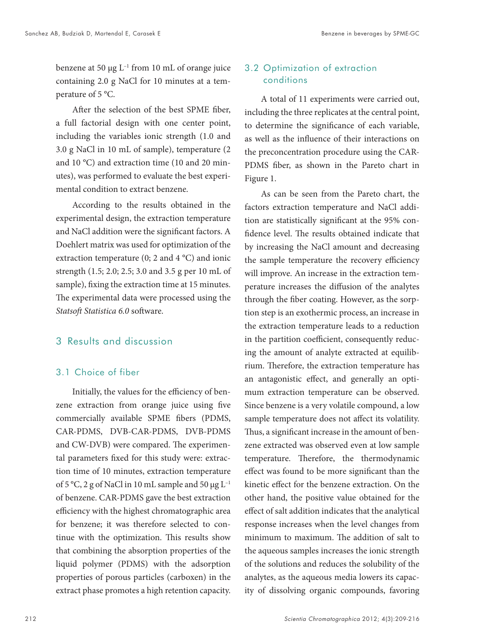benzene at 50  $\mu$ g L<sup>-1</sup> from 10 mL of orange juice containing 2.0 g NaCl for 10 minutes at a temperature of 5 °C.

After the selection of the best SPME fiber, a full factorial design with one center point, including the variables ionic strength (1.0 and 3.0 g NaCl in 10 mL of sample), temperature (2 and 10 °C) and extraction time (10 and 20 minutes), was performed to evaluate the best experimental condition to extract benzene.

According to the results obtained in the experimental design, the extraction temperature and NaCl addition were the significant factors. A Doehlert matrix was used for optimization of the extraction temperature (0; 2 and 4 °C) and ionic strength (1.5; 2.0; 2.5; 3.0 and 3.5 g per 10 mL of sample), fixing the extraction time at 15 minutes. The experimental data were processed using the *Statsoft Statistica 6.0* software.

### 3 Results and discussion

#### 3.1 Choice of fiber

Initially, the values for the efficiency of benzene extraction from orange juice using five commercially available SPME fibers (PDMS, CAR-PDMS, DVB-CAR-PDMS, DVB-PDMS and CW-DVB) were compared. The experimental parameters fixed for this study were: extraction time of 10 minutes, extraction temperature of 5 °C, 2 g of NaCl in 10 mL sample and 50  $\mu$ g L<sup>-1</sup> of benzene. CAR-PDMS gave the best extraction efficiency with the highest chromatographic area for benzene; it was therefore selected to continue with the optimization. This results show that combining the absorption properties of the liquid polymer (PDMS) with the adsorption properties of porous particles (carboxen) in the extract phase promotes a high retention capacity.

# 3.2 Optimization of extraction conditions

A total of 11 experiments were carried out, including the three replicates at the central point, to determine the significance of each variable, as well as the influence of their interactions on the preconcentration procedure using the CAR-PDMS fiber, as shown in the Pareto chart in Figure 1.

As can be seen from the Pareto chart, the factors extraction temperature and NaCl addition are statistically significant at the 95% confidence level. The results obtained indicate that by increasing the NaCl amount and decreasing the sample temperature the recovery efficiency will improve. An increase in the extraction temperature increases the diffusion of the analytes through the fiber coating. However, as the sorption step is an exothermic process, an increase in the extraction temperature leads to a reduction in the partition coefficient, consequently reducing the amount of analyte extracted at equilibrium. Therefore, the extraction temperature has an antagonistic effect, and generally an optimum extraction temperature can be observed. Since benzene is a very volatile compound, a low sample temperature does not affect its volatility. Thus, a significant increase in the amount of benzene extracted was observed even at low sample temperature. Therefore, the thermodynamic effect was found to be more significant than the kinetic effect for the benzene extraction. On the other hand, the positive value obtained for the effect of salt addition indicates that the analytical response increases when the level changes from minimum to maximum. The addition of salt to the aqueous samples increases the ionic strength of the solutions and reduces the solubility of the analytes, as the aqueous media lowers its capacity of dissolving organic compounds, favoring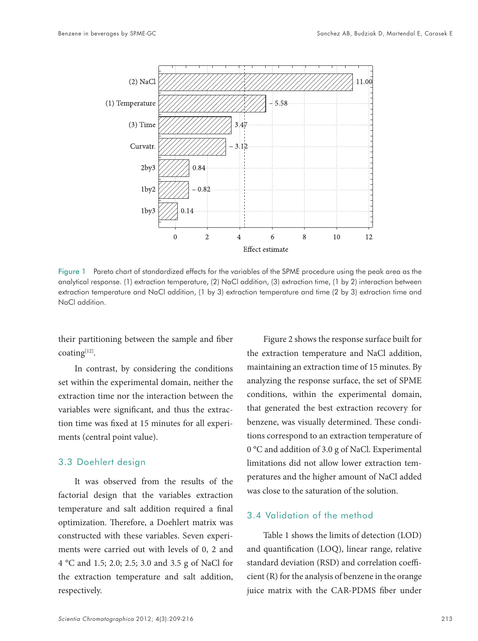

Figure 1 Pareto chart of standardized effects for the variables of the SPME procedure using the peak area as the analytical response. (1) extraction temperature, (2) NaCl addition, (3) extraction time, (1 by 2) interaction between extraction temperature and NaCl addition, (1 by 3) extraction temperature and time (2 by 3) extraction time and NaCl addition.

their partitioning between the sample and fiber coating[12].

In contrast, by considering the conditions set within the experimental domain, neither the extraction time nor the interaction between the variables were significant, and thus the extraction time was fixed at 15 minutes for all experiments (central point value).

#### 3.3 Doehlert design

It was observed from the results of the factorial design that the variables extraction temperature and salt addition required a final optimization. Therefore, a Doehlert matrix was constructed with these variables. Seven experiments were carried out with levels of 0, 2 and 4 °C and 1.5; 2.0; 2.5; 3.0 and 3.5 g of NaCl for the extraction temperature and salt addition, respectively.

Figure 2 shows the response surface built for the extraction temperature and NaCl addition, maintaining an extraction time of 15 minutes. By analyzing the response surface, the set of SPME conditions, within the experimental domain, that generated the best extraction recovery for benzene, was visually determined. These conditions correspond to an extraction temperature of 0 °C and addition of 3.0 g of NaCl. Experimental limitations did not allow lower extraction temperatures and the higher amount of NaCl added was close to the saturation of the solution.

## 3.4 Validation of the method

Table 1 shows the limits of detection (LOD) and quantification (LOQ), linear range, relative standard deviation (RSD) and correlation coefficient (R) for the analysis of benzene in the orange juice matrix with the CAR-PDMS fiber under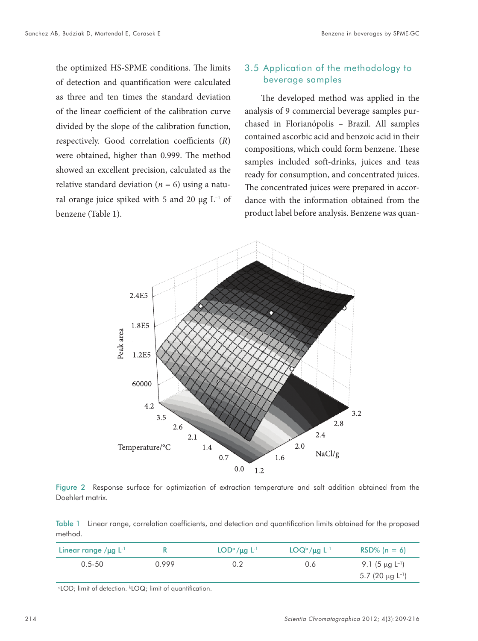the optimized HS-SPME conditions. The limits of detection and quantification were calculated as three and ten times the standard deviation of the linear coefficient of the calibration curve divided by the slope of the calibration function, respectively. Good correlation coefficients (*R*) were obtained, higher than 0.999. The method showed an excellent precision, calculated as the relative standard deviation ( $n = 6$ ) using a natural orange juice spiked with 5 and 20  $\mu$ g L<sup>-1</sup> of benzene (Table 1).

#### 3.5 Application of the methodology to beverage samples

The developed method was applied in the analysis of 9 commercial beverage samples purchased in Florianópolis – Brazil. All samples contained ascorbic acid and benzoic acid in their compositions, which could form benzene. These samples included soft-drinks, juices and teas ready for consumption, and concentrated juices. The concentrated juices were prepared in accordance with the information obtained from the product label before analysis. Benzene was quan-



Figure 2 Response surface for optimization of extraction temperature and salt addition obtained from the Doehlert matrix.

Table 1 Linear range, correlation coefficients, and detection and quantification limits obtained for the proposed method.

| Linear range $\mu$ g L <sup>-1</sup> |       | $LOD^{\alpha}/\mu$ g L <sup>-1</sup> | $LOQb/\mu q$ $L-1$ | $RSD% (n = 6)$                    |
|--------------------------------------|-------|--------------------------------------|--------------------|-----------------------------------|
| $0.5 - 50$                           | በ 999 |                                      | 0.6                | 9.1 (5 $\mu$ g L <sup>-1</sup> )  |
|                                      |       |                                      |                    | 5.7 (20 $\mu$ g L <sup>-1</sup> ) |

<sup>o</sup>LOD; limit of detection. <sup>b</sup>LOQ; limit of quantification.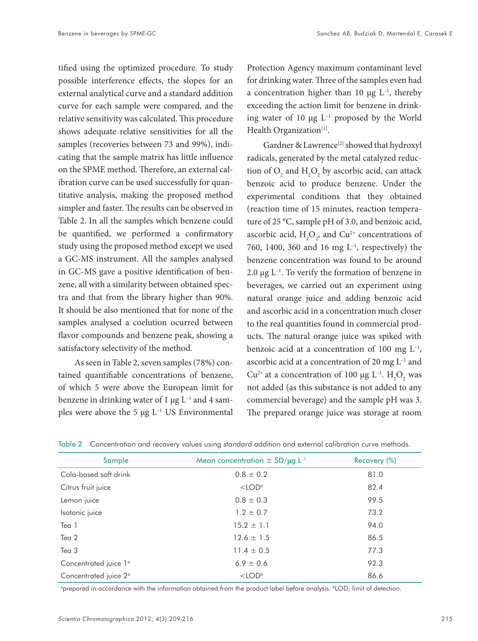tified using the optimized procedure. To study possible interference effects, the slopes for an external analytical curve and a standard addition curve for each sample were compared, and the relative sensitivity was calculated. This procedure shows adequate relative sensitivities for all the samples (recoveries between 73 and 99%), indicating that the sample matrix has little influence on the SPME method. Therefore, an external calibration curve can be used successfully for quantitative analysis, making the proposed method simpler and faster. The results can be observed in Table 2. In all the samples which benzene could be quantified, we performed a confirmatory study using the proposed method except we used a GC-MS instrument. All the samples analysed in GC-MS gave a positive identification of benzene, all with a similarity between obtained spectra and that from the library higher than 90%. It should be also mentioned that for none of the samples analysed a coelution ocurred between flavor compounds and benzene peak, showing a satisfactory selectivity of the method.

As seen in Table 2, seven samples (78%) contained quantifiable concentrations of benzene, of which 5 were above the European limit for benzene in drinking water of 1  $\mu$ g L<sup>-1</sup> and 4 samples were above the 5  $\mu$ g L<sup>-1</sup> US Environmental Protection Agency maximum contaminant level for drinking water. Three of the samples even had a concentration higher than 10  $\mu$ g L<sup>-1</sup>, thereby exceeding the action limit for benzene in drinking water of 10  $\mu$ g L<sup>-1</sup> proposed by the World Health Organization<sup>[1]</sup>.

Gardner & Lawrence<sup>[2]</sup> showed that hydroxyl radicals, generated by the metal catalyzed reduction of  $O_2$  and  $H_2O_2$  by ascorbic acid, can attack benzoic acid to produce benzene. Under the experimental conditions that they obtained (reaction time of 15 minutes, reaction temperature of 25 °C, sample pH of 3.0, and benzoic acid, ascorbic acid,  $H_2O_2$ , and  $Cu^{2+}$  concentrations of 760, 1400, 360 and 16 mg  $L^{-1}$ , respectively) the benzene concentration was found to be around 2.0  $\mu$ g L<sup>-1</sup>. To verify the formation of benzene in beverages, we carried out an experiment using natural orange juice and adding benzoic acid and ascorbic acid in a concentration much closer to the real quantities found in commercial products. The natural orange juice was spiked with benzoic acid at a concentration of 100 mg  $L^{-1}$ , ascorbic acid at a concentration of 20 mg  $L^{-1}$  and  $Cu^{2+}$  at a concentration of 100 µg  $L^{-1}$ .  $H_2O_2$  was not added (as this substance is not added to any commercial beverage) and the sample pH was 3. The prepared orange juice was storage at room

| Sample                            | Mean concentration $\pm$ SD/ $\mu$ g L <sup>-1</sup> | Recovery (%) |
|-----------------------------------|------------------------------------------------------|--------------|
| Cola-based soft drink             | $0.8 \pm 0.2$                                        | 81.0         |
| Citrus fruit juice                | $<$ LOD <sup><math>\alpha</math></sup>               | 82.4         |
| Lemon juice                       | $0.8 \pm 0.3$                                        | 99.5         |
| Isotonic juice                    | $1.2 \pm 0.7$                                        | 73.2         |
| Tea 1                             | $15.2 \pm 1.1$                                       | 94.0         |
| Tea 2                             | $12.6 \pm 1.5$                                       | 86.5         |
| Tea 3                             | $11.4 \pm 0.5$                                       | 77.3         |
| Concentrated juice 1 <sup>°</sup> | $6.9 \pm 0.6$                                        | 92.3         |
| Concentrated juice 2 <sup>°</sup> | $<$ LODb                                             | 86.6         |

Table 2 Concentration and recovery values using standard addition and external calibration curve methods.

a prepared in accordance with the information obtained from the product label before analysis. bLOD; limit of detection.